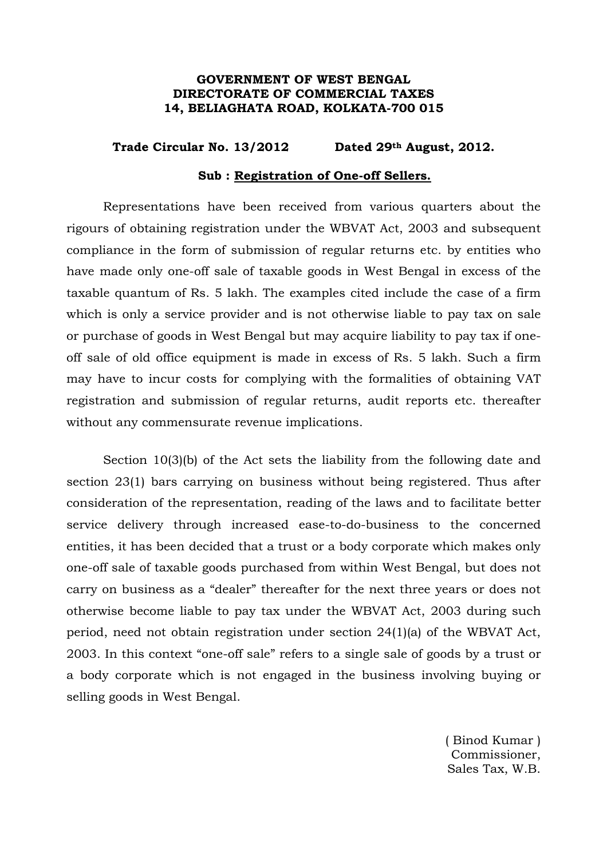## **GOVERNMENT OF WEST BENGAL DIRECTORATE OF COMMERCIAL TAXES 14, BELIAGHATA ROAD, KOLKATA-700 015**

## **Trade Circular No. 13/2012 Dated 29th August, 2012.**

## **Sub : Registration of One-off Sellers.**

 Representations have been received from various quarters about the rigours of obtaining registration under the WBVAT Act, 2003 and subsequent compliance in the form of submission of regular returns etc. by entities who have made only one-off sale of taxable goods in West Bengal in excess of the taxable quantum of Rs. 5 lakh. The examples cited include the case of a firm which is only a service provider and is not otherwise liable to pay tax on sale or purchase of goods in West Bengal but may acquire liability to pay tax if oneoff sale of old office equipment is made in excess of Rs. 5 lakh. Such a firm may have to incur costs for complying with the formalities of obtaining VAT registration and submission of regular returns, audit reports etc. thereafter without any commensurate revenue implications.

 Section 10(3)(b) of the Act sets the liability from the following date and section 23(1) bars carrying on business without being registered. Thus after consideration of the representation, reading of the laws and to facilitate better service delivery through increased ease-to-do-business to the concerned entities, it has been decided that a trust or a body corporate which makes only one-off sale of taxable goods purchased from within West Bengal, but does not carry on business as a "dealer" thereafter for the next three years or does not otherwise become liable to pay tax under the WBVAT Act, 2003 during such period, need not obtain registration under section 24(1)(a) of the WBVAT Act, 2003. In this context "one-off sale" refers to a single sale of goods by a trust or a body corporate which is not engaged in the business involving buying or selling goods in West Bengal.

> ( Binod Kumar ) Commissioner, Sales Tax, W.B.